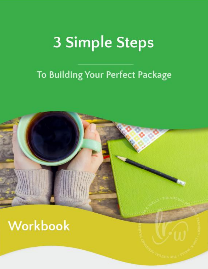# **3 Simple Steps**

#### To Building Your Perfect Package

## Workbook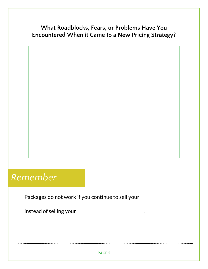#### **What Roadblocks, Fears, or Problems Have You Encountered When it Came to a New Pricing Strategy?**

#### *Remember*

Packages do not work if you continue to sell your instead of selling your .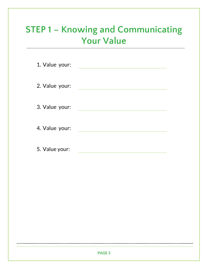#### **STEP 1 – Knowing and Communicating Your Value**

| 1. Value your: |  |
|----------------|--|
| 2. Value your: |  |
| 3. Value your: |  |
| 4. Value your: |  |
| 5. Value your: |  |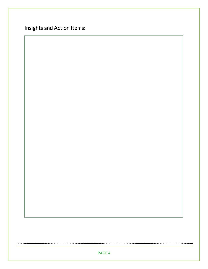Insights and Action Items:

.............................

..............................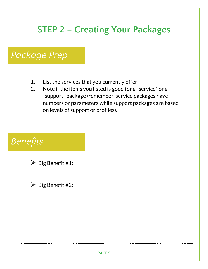#### **STEP 2 – Creating Your Packages**

#### *Package Prep*

- 1. List the services that you currently offer.
- 2. Note if the items you listed is good for a "service" or a "support" package (remember, service packages have numbers or parameters while support packages are based on levels of support or profiles).

#### *Benefits*



 $\triangleright$  Big Benefit #2: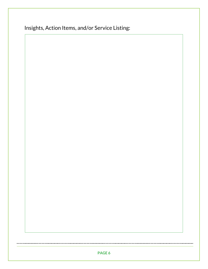| Insights, Action Items, and/or Service Listing: |  |  |  |
|-------------------------------------------------|--|--|--|
|                                                 |  |  |  |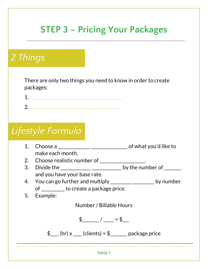### **STEP 3 – Pricing Your Packages**

#### *2 Things*

 $\ddotsc$ 

There are only two things you need to know in order to create packages:



#### *Lifestyle Formula*

| 1.                                                                        | Choose a choose a choose a control of what you'd like to    |  |  |
|---------------------------------------------------------------------------|-------------------------------------------------------------|--|--|
|                                                                           | make each month.                                            |  |  |
|                                                                           | 2. Choose realistic number of _______________.              |  |  |
| 3.                                                                        | Divide the _______________________________ by the number of |  |  |
|                                                                           | and you have your base rate.                                |  |  |
| You can go further and multiply _________________________ by number<br>4. |                                                             |  |  |
|                                                                           | of <u>said</u> to create a package price.                   |  |  |
| 5.                                                                        | Example:                                                    |  |  |
|                                                                           | Number / Billable Hours                                     |  |  |
|                                                                           | $\frac{1}{2}$ / = \$                                        |  |  |
|                                                                           | $\oint$ (hr) x (clients) = $\oint$ package price            |  |  |
|                                                                           |                                                             |  |  |
|                                                                           | <b>PAGE 7</b>                                               |  |  |